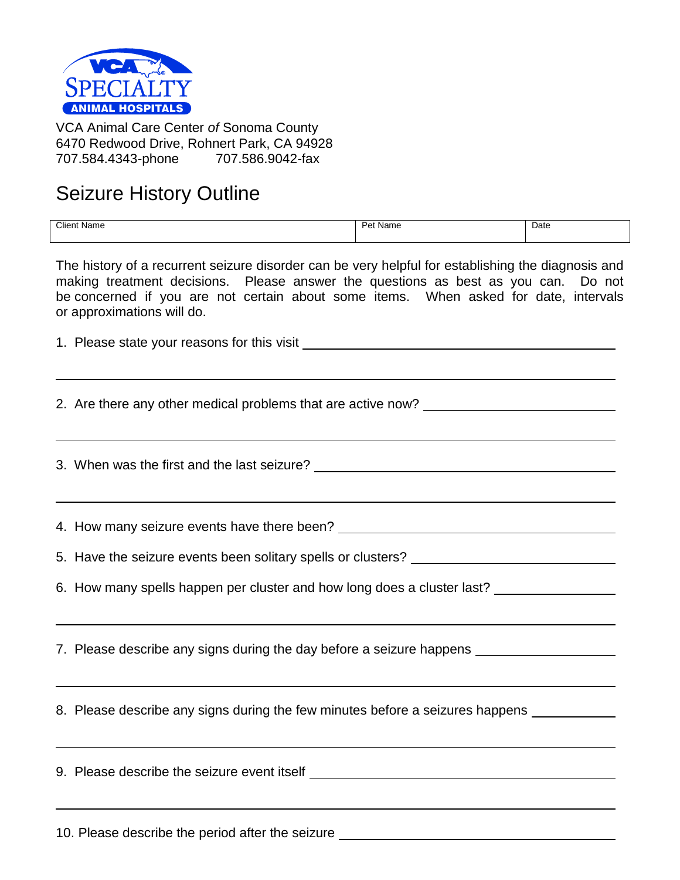

VCA Animal Care Center *of* Sonoma County 6470 Redwood Drive, Rohnert Park, CA 94928 707.584.4343-phone 707.586.9042-fax

## Seizure History Outline

| <b>Client Name</b> | $D_{01}$<br><b>Name</b><br>շւ | Date |
|--------------------|-------------------------------|------|
|--------------------|-------------------------------|------|

The history of a recurrent seizure disorder can be very helpful for establishing the diagnosis and making treatment decisions. Please answer the questions as best as you can. Do not be concerned if you are not certain about some items. When asked for date, intervals or approximations will do.

1. Please state your reasons for this visit

2. Are there any other medical problems that are active now?

3. When was the first and the last seizure?

4. How many seizure events have there been?

5. Have the seizure events been solitary spells or clusters?

6. How many spells happen per cluster and how long does a cluster last?

7. Please describe any signs during the day before a seizure happens

8. Please describe any signs during the few minutes before a seizures happens

9. Please describe the seizure event itself

10. Please describe the period after the seizure